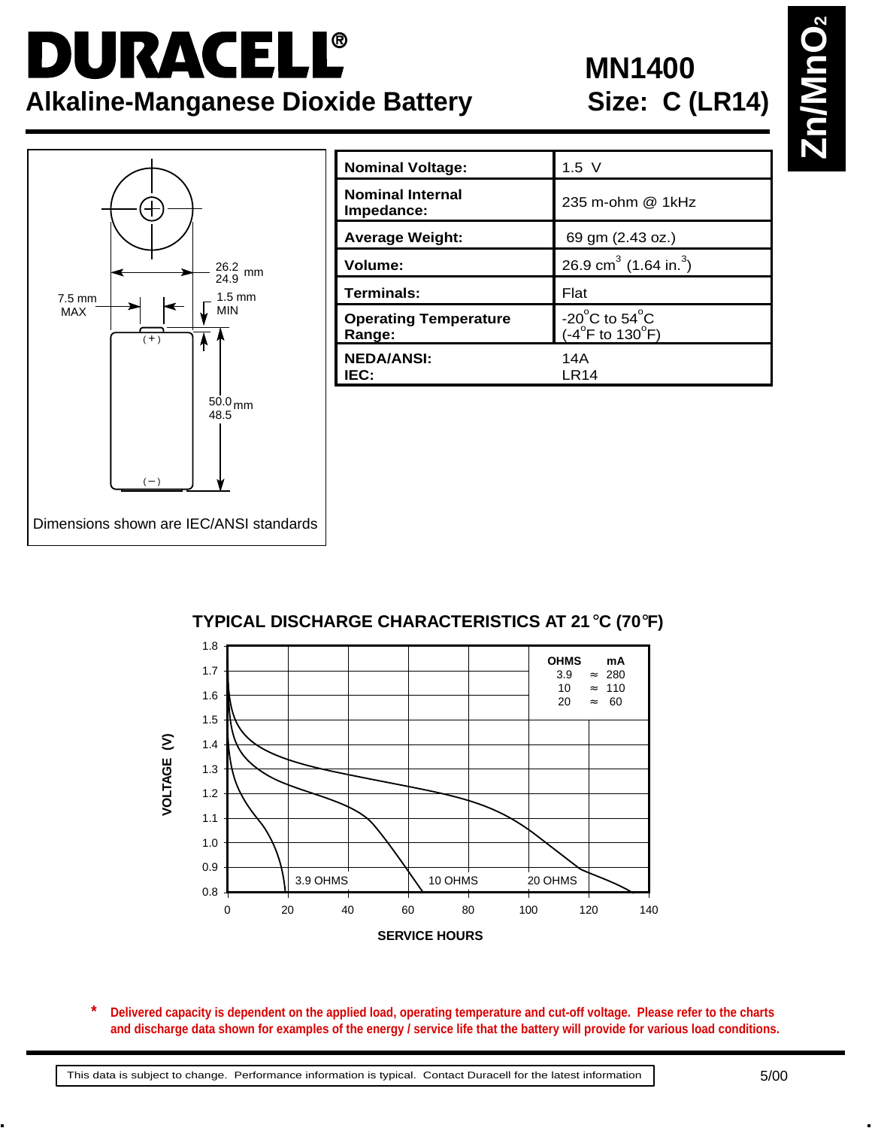## DURACELL® **Alkaline-Manganese Dioxide Battery**

## **MN1400<br>Size: C (LR14)**



| <b>Nominal Voltage:</b>                | $1.5$ V                                                                     |
|----------------------------------------|-----------------------------------------------------------------------------|
| <b>Nominal Internal</b><br>Impedance:  | 235 m-ohm @ 1kHz                                                            |
| <b>Average Weight:</b>                 | 69 gm (2.43 oz.)                                                            |
| Volume:                                | 26.9 cm <sup>3</sup> (1.64 in. <sup>3</sup> )                               |
| Terminals:                             | Flat                                                                        |
| <b>Operating Temperature</b><br>Range: | -20 $^{\circ}$ C to 54 $^{\circ}$ C<br>$(-4^{\circ}$ F to 130 $^{\circ}$ F) |
| <b>NEDA/ANSI:</b><br>IEC:              | 14A<br>LR14                                                                 |

**TYPICAL DISCHARGE CHARACTERISTICS AT 21**°**C (70**°**F)**



**Delivered capacity is dependent on the applied load, operating temperature and cut-off voltage. Please refer to the charts and discharge data shown for examples of the energy / service life that the battery will provide for various load conditions. \***